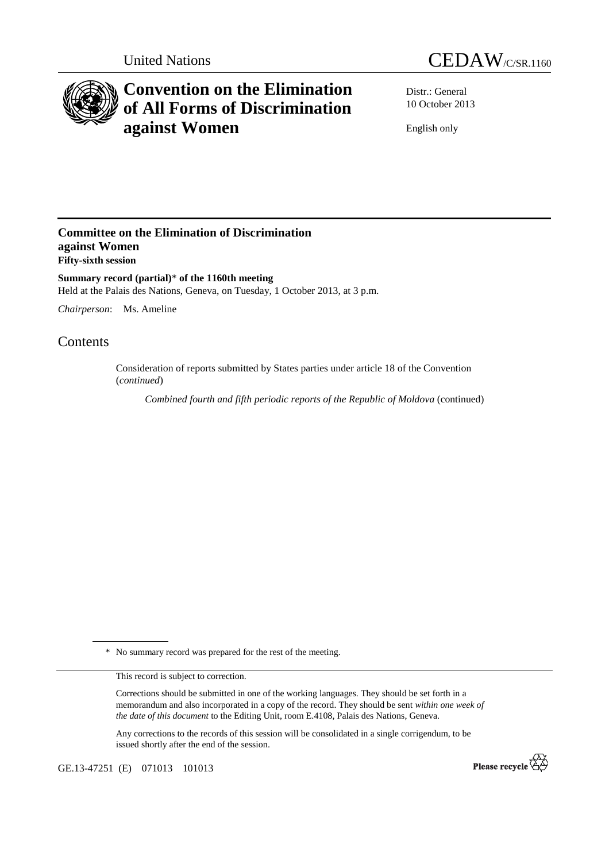



# **Convention on the Elimination of All Forms of Discrimination against Women**

Distr.: General 10 October 2013

English only

### **Committee on the Elimination of Discrimination against Women Fifty-sixth session**

**Summary record (partial)**\* **of the 1160th meeting**  Held at the Palais des Nations, Geneva, on Tuesday, 1 October 2013, at 3 p.m.

*Chairperson*: Ms. Ameline

## Contents

Consideration of reports submitted by States parties under article 18 of the Convention (*continued*)

*Combined fourth and fifth periodic reports of the Republic of Moldova* (continued)

\* No summary record was prepared for the rest of the meeting.

This record is subject to correction.

Corrections should be submitted in one of the working languages. They should be set forth in a memorandum and also incorporated in a copy of the record. They should be sent *within one week of the date of this document* to the Editing Unit, room E.4108, Palais des Nations, Geneva.

Any corrections to the records of this session will be consolidated in a single corrigendum, to be issued shortly after the end of the session.

GE.13-47251 (E) 071013 101013

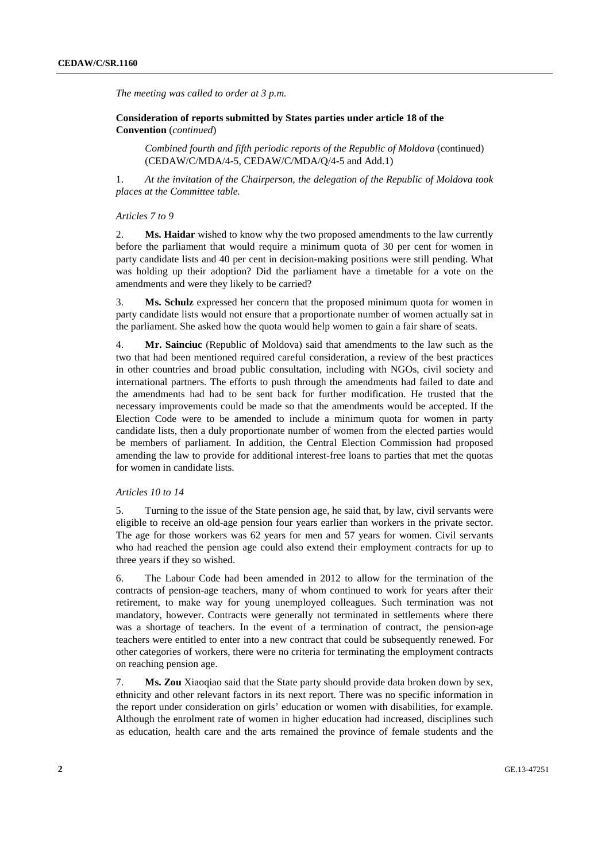*The meeting was called to order at 3 p.m.* 

 **Consideration of reports submitted by States parties under article 18 of the Convention** (*continued*)

*Combined fourth and fifth periodic reports of the Republic of Moldova* (continued) (CEDAW/C/MDA/4-5, CEDAW/C/MDA/Q/4-5 and Add.1)

1. *At the invitation of the Chairperson, the delegation of the Republic of Moldova took places at the Committee table.* 

#### *Articles 7 to 9*

2. **Ms. Haidar** wished to know why the two proposed amendments to the law currently before the parliament that would require a minimum quota of 30 per cent for women in party candidate lists and 40 per cent in decision-making positions were still pending. What was holding up their adoption? Did the parliament have a timetable for a vote on the amendments and were they likely to be carried?

3. **Ms. Schulz** expressed her concern that the proposed minimum quota for women in party candidate lists would not ensure that a proportionate number of women actually sat in the parliament. She asked how the quota would help women to gain a fair share of seats.

4. **Mr. Sainciuc** (Republic of Moldova) said that amendments to the law such as the two that had been mentioned required careful consideration, a review of the best practices in other countries and broad public consultation, including with NGOs, civil society and international partners. The efforts to push through the amendments had failed to date and the amendments had had to be sent back for further modification. He trusted that the necessary improvements could be made so that the amendments would be accepted. If the Election Code were to be amended to include a minimum quota for women in party candidate lists, then a duly proportionate number of women from the elected parties would be members of parliament. In addition, the Central Election Commission had proposed amending the law to provide for additional interest-free loans to parties that met the quotas for women in candidate lists.

#### *Articles 10 to 14*

5. Turning to the issue of the State pension age, he said that, by law, civil servants were eligible to receive an old-age pension four years earlier than workers in the private sector. The age for those workers was 62 years for men and 57 years for women. Civil servants who had reached the pension age could also extend their employment contracts for up to three years if they so wished.

6. The Labour Code had been amended in 2012 to allow for the termination of the contracts of pension-age teachers, many of whom continued to work for years after their retirement, to make way for young unemployed colleagues. Such termination was not mandatory, however. Contracts were generally not terminated in settlements where there was a shortage of teachers. In the event of a termination of contract, the pension-age teachers were entitled to enter into a new contract that could be subsequently renewed. For other categories of workers, there were no criteria for terminating the employment contracts on reaching pension age.

7. **Ms. Zou** Xiaoqiao said that the State party should provide data broken down by sex, ethnicity and other relevant factors in its next report. There was no specific information in the report under consideration on girls' education or women with disabilities, for example. Although the enrolment rate of women in higher education had increased, disciplines such as education, health care and the arts remained the province of female students and the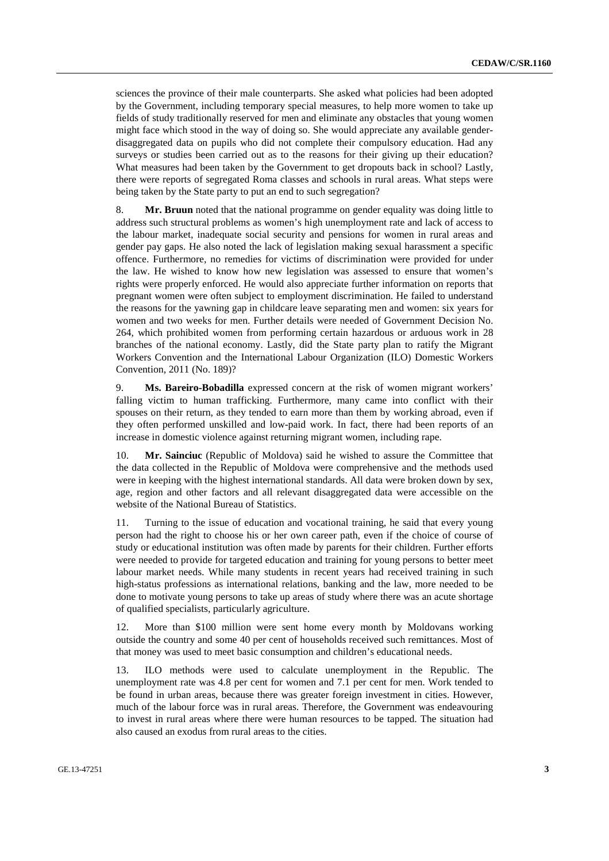sciences the province of their male counterparts. She asked what policies had been adopted by the Government, including temporary special measures, to help more women to take up fields of study traditionally reserved for men and eliminate any obstacles that young women might face which stood in the way of doing so. She would appreciate any available genderdisaggregated data on pupils who did not complete their compulsory education. Had any surveys or studies been carried out as to the reasons for their giving up their education? What measures had been taken by the Government to get dropouts back in school? Lastly, there were reports of segregated Roma classes and schools in rural areas. What steps were being taken by the State party to put an end to such segregation?

8. **Mr. Bruun** noted that the national programme on gender equality was doing little to address such structural problems as women's high unemployment rate and lack of access to the labour market, inadequate social security and pensions for women in rural areas and gender pay gaps. He also noted the lack of legislation making sexual harassment a specific offence. Furthermore, no remedies for victims of discrimination were provided for under the law. He wished to know how new legislation was assessed to ensure that women's rights were properly enforced. He would also appreciate further information on reports that pregnant women were often subject to employment discrimination. He failed to understand the reasons for the yawning gap in childcare leave separating men and women: six years for women and two weeks for men. Further details were needed of Government Decision No. 264, which prohibited women from performing certain hazardous or arduous work in 28 branches of the national economy. Lastly, did the State party plan to ratify the Migrant Workers Convention and the International Labour Organization (ILO) Domestic Workers Convention, 2011 (No. 189)?

9. **Ms. Bareiro-Bobadilla** expressed concern at the risk of women migrant workers' falling victim to human trafficking. Furthermore, many came into conflict with their spouses on their return, as they tended to earn more than them by working abroad, even if they often performed unskilled and low-paid work. In fact, there had been reports of an increase in domestic violence against returning migrant women, including rape.

10. **Mr. Sainciuc** (Republic of Moldova) said he wished to assure the Committee that the data collected in the Republic of Moldova were comprehensive and the methods used were in keeping with the highest international standards. All data were broken down by sex, age, region and other factors and all relevant disaggregated data were accessible on the website of the National Bureau of Statistics.

11. Turning to the issue of education and vocational training, he said that every young person had the right to choose his or her own career path, even if the choice of course of study or educational institution was often made by parents for their children. Further efforts were needed to provide for targeted education and training for young persons to better meet labour market needs. While many students in recent years had received training in such high-status professions as international relations, banking and the law, more needed to be done to motivate young persons to take up areas of study where there was an acute shortage of qualified specialists, particularly agriculture.

12. More than \$100 million were sent home every month by Moldovans working outside the country and some 40 per cent of households received such remittances. Most of that money was used to meet basic consumption and children's educational needs.

13. ILO methods were used to calculate unemployment in the Republic. The unemployment rate was 4.8 per cent for women and 7.1 per cent for men. Work tended to be found in urban areas, because there was greater foreign investment in cities. However, much of the labour force was in rural areas. Therefore, the Government was endeavouring to invest in rural areas where there were human resources to be tapped. The situation had also caused an exodus from rural areas to the cities.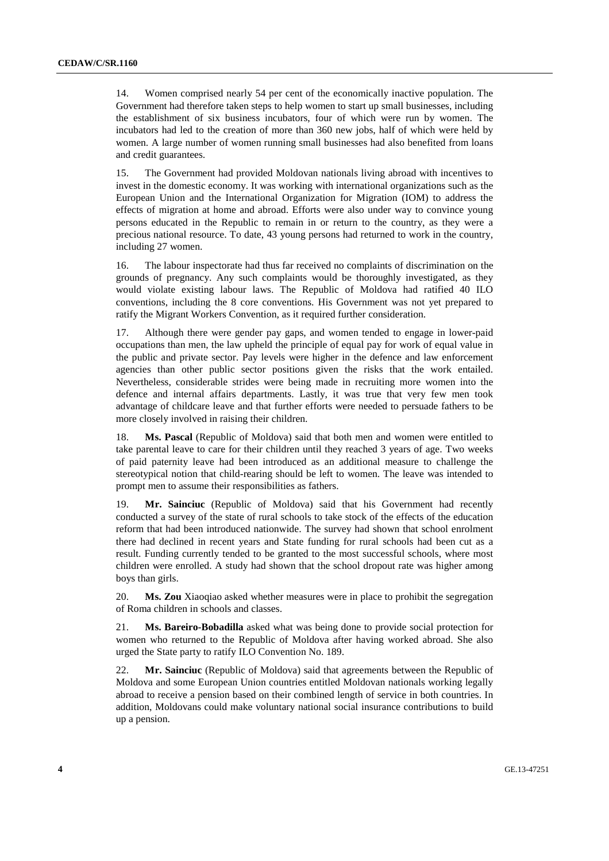14. Women comprised nearly 54 per cent of the economically inactive population. The Government had therefore taken steps to help women to start up small businesses, including the establishment of six business incubators, four of which were run by women. The incubators had led to the creation of more than 360 new jobs, half of which were held by women. A large number of women running small businesses had also benefited from loans and credit guarantees.

15. The Government had provided Moldovan nationals living abroad with incentives to invest in the domestic economy. It was working with international organizations such as the European Union and the International Organization for Migration (IOM) to address the effects of migration at home and abroad. Efforts were also under way to convince young persons educated in the Republic to remain in or return to the country, as they were a precious national resource. To date, 43 young persons had returned to work in the country, including 27 women.

16. The labour inspectorate had thus far received no complaints of discrimination on the grounds of pregnancy. Any such complaints would be thoroughly investigated, as they would violate existing labour laws. The Republic of Moldova had ratified 40 ILO conventions, including the 8 core conventions. His Government was not yet prepared to ratify the Migrant Workers Convention, as it required further consideration.

17. Although there were gender pay gaps, and women tended to engage in lower-paid occupations than men, the law upheld the principle of equal pay for work of equal value in the public and private sector. Pay levels were higher in the defence and law enforcement agencies than other public sector positions given the risks that the work entailed. Nevertheless, considerable strides were being made in recruiting more women into the defence and internal affairs departments. Lastly, it was true that very few men took advantage of childcare leave and that further efforts were needed to persuade fathers to be more closely involved in raising their children.

18. **Ms. Pascal** (Republic of Moldova) said that both men and women were entitled to take parental leave to care for their children until they reached 3 years of age. Two weeks of paid paternity leave had been introduced as an additional measure to challenge the stereotypical notion that child-rearing should be left to women. The leave was intended to prompt men to assume their responsibilities as fathers.

19. **Mr. Sainciuc** (Republic of Moldova) said that his Government had recently conducted a survey of the state of rural schools to take stock of the effects of the education reform that had been introduced nationwide. The survey had shown that school enrolment there had declined in recent years and State funding for rural schools had been cut as a result. Funding currently tended to be granted to the most successful schools, where most children were enrolled. A study had shown that the school dropout rate was higher among boys than girls.

20. **Ms. Zou** Xiaoqiao asked whether measures were in place to prohibit the segregation of Roma children in schools and classes.

21. **Ms. Bareiro-Bobadilla** asked what was being done to provide social protection for women who returned to the Republic of Moldova after having worked abroad. She also urged the State party to ratify ILO Convention No. 189.

22. **Mr. Sainciuc** (Republic of Moldova) said that agreements between the Republic of Moldova and some European Union countries entitled Moldovan nationals working legally abroad to receive a pension based on their combined length of service in both countries. In addition, Moldovans could make voluntary national social insurance contributions to build up a pension.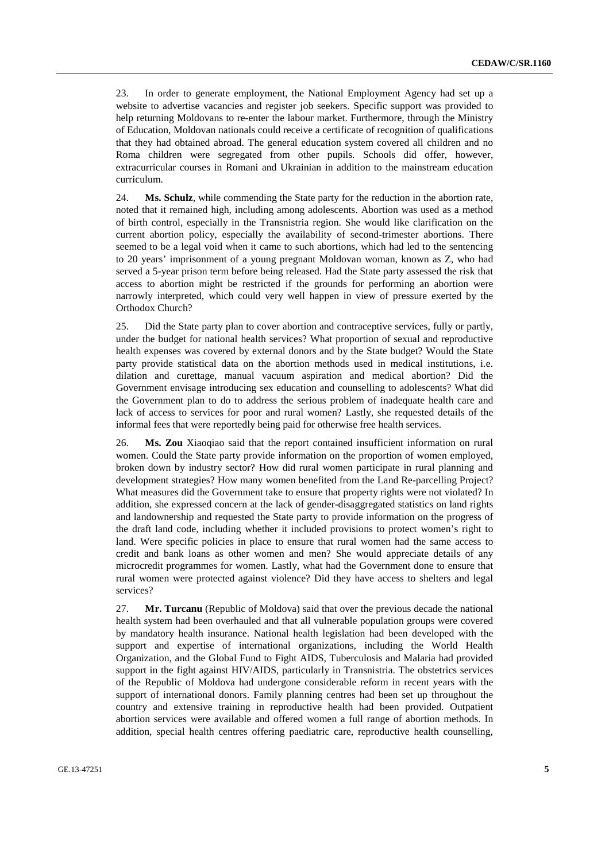23. In order to generate employment, the National Employment Agency had set up a website to advertise vacancies and register job seekers. Specific support was provided to help returning Moldovans to re-enter the labour market. Furthermore, through the Ministry of Education, Moldovan nationals could receive a certificate of recognition of qualifications that they had obtained abroad. The general education system covered all children and no Roma children were segregated from other pupils. Schools did offer, however, extracurricular courses in Romani and Ukrainian in addition to the mainstream education curriculum.

24. **Ms. Schulz**, while commending the State party for the reduction in the abortion rate, noted that it remained high, including among adolescents. Abortion was used as a method of birth control, especially in the Transnistria region. She would like clarification on the current abortion policy, especially the availability of second-trimester abortions. There seemed to be a legal void when it came to such abortions, which had led to the sentencing to 20 years' imprisonment of a young pregnant Moldovan woman, known as Z, who had served a 5-year prison term before being released. Had the State party assessed the risk that access to abortion might be restricted if the grounds for performing an abortion were narrowly interpreted, which could very well happen in view of pressure exerted by the Orthodox Church?

25. Did the State party plan to cover abortion and contraceptive services, fully or partly, under the budget for national health services? What proportion of sexual and reproductive health expenses was covered by external donors and by the State budget? Would the State party provide statistical data on the abortion methods used in medical institutions, i.e. dilation and curettage, manual vacuum aspiration and medical abortion? Did the Government envisage introducing sex education and counselling to adolescents? What did the Government plan to do to address the serious problem of inadequate health care and lack of access to services for poor and rural women? Lastly, she requested details of the informal fees that were reportedly being paid for otherwise free health services.

26. **Ms. Zou** Xiaoqiao said that the report contained insufficient information on rural women. Could the State party provide information on the proportion of women employed, broken down by industry sector? How did rural women participate in rural planning and development strategies? How many women benefited from the Land Re-parcelling Project? What measures did the Government take to ensure that property rights were not violated? In addition, she expressed concern at the lack of gender-disaggregated statistics on land rights and landownership and requested the State party to provide information on the progress of the draft land code, including whether it included provisions to protect women's right to land. Were specific policies in place to ensure that rural women had the same access to credit and bank loans as other women and men? She would appreciate details of any microcredit programmes for women. Lastly, what had the Government done to ensure that rural women were protected against violence? Did they have access to shelters and legal services?

27. **Mr. Turcanu** (Republic of Moldova) said that over the previous decade the national health system had been overhauled and that all vulnerable population groups were covered by mandatory health insurance. National health legislation had been developed with the support and expertise of international organizations, including the World Health Organization, and the Global Fund to Fight AIDS, Tuberculosis and Malaria had provided support in the fight against HIV/AIDS, particularly in Transnistria. The obstetrics services of the Republic of Moldova had undergone considerable reform in recent years with the support of international donors. Family planning centres had been set up throughout the country and extensive training in reproductive health had been provided. Outpatient abortion services were available and offered women a full range of abortion methods. In addition, special health centres offering paediatric care, reproductive health counselling,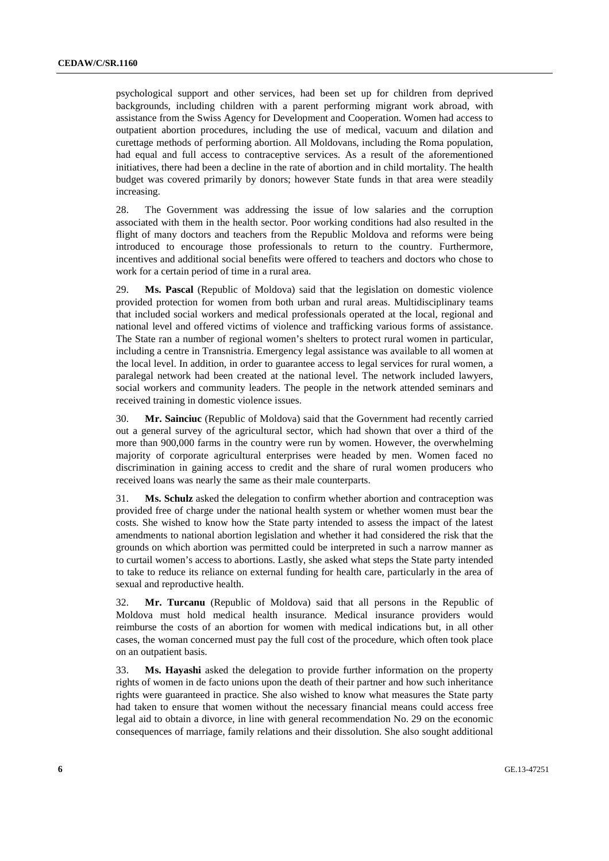psychological support and other services, had been set up for children from deprived backgrounds, including children with a parent performing migrant work abroad, with assistance from the Swiss Agency for Development and Cooperation. Women had access to outpatient abortion procedures, including the use of medical, vacuum and dilation and curettage methods of performing abortion. All Moldovans, including the Roma population, had equal and full access to contraceptive services. As a result of the aforementioned initiatives, there had been a decline in the rate of abortion and in child mortality. The health budget was covered primarily by donors; however State funds in that area were steadily increasing.

28. The Government was addressing the issue of low salaries and the corruption associated with them in the health sector. Poor working conditions had also resulted in the flight of many doctors and teachers from the Republic Moldova and reforms were being introduced to encourage those professionals to return to the country. Furthermore, incentives and additional social benefits were offered to teachers and doctors who chose to work for a certain period of time in a rural area.

29. **Ms. Pascal** (Republic of Moldova) said that the legislation on domestic violence provided protection for women from both urban and rural areas. Multidisciplinary teams that included social workers and medical professionals operated at the local, regional and national level and offered victims of violence and trafficking various forms of assistance. The State ran a number of regional women's shelters to protect rural women in particular, including a centre in Transnistria. Emergency legal assistance was available to all women at the local level. In addition, in order to guarantee access to legal services for rural women, a paralegal network had been created at the national level. The network included lawyers, social workers and community leaders. The people in the network attended seminars and received training in domestic violence issues.

30. **Mr. Sainciuc** (Republic of Moldova) said that the Government had recently carried out a general survey of the agricultural sector, which had shown that over a third of the more than 900,000 farms in the country were run by women. However, the overwhelming majority of corporate agricultural enterprises were headed by men. Women faced no discrimination in gaining access to credit and the share of rural women producers who received loans was nearly the same as their male counterparts.

31. **Ms. Schulz** asked the delegation to confirm whether abortion and contraception was provided free of charge under the national health system or whether women must bear the costs. She wished to know how the State party intended to assess the impact of the latest amendments to national abortion legislation and whether it had considered the risk that the grounds on which abortion was permitted could be interpreted in such a narrow manner as to curtail women's access to abortions. Lastly, she asked what steps the State party intended to take to reduce its reliance on external funding for health care, particularly in the area of sexual and reproductive health.

32. **Mr. Turcanu** (Republic of Moldova) said that all persons in the Republic of Moldova must hold medical health insurance. Medical insurance providers would reimburse the costs of an abortion for women with medical indications but, in all other cases, the woman concerned must pay the full cost of the procedure, which often took place on an outpatient basis.

33. **Ms. Hayashi** asked the delegation to provide further information on the property rights of women in de facto unions upon the death of their partner and how such inheritance rights were guaranteed in practice. She also wished to know what measures the State party had taken to ensure that women without the necessary financial means could access free legal aid to obtain a divorce, in line with general recommendation No. 29 on the economic consequences of marriage, family relations and their dissolution. She also sought additional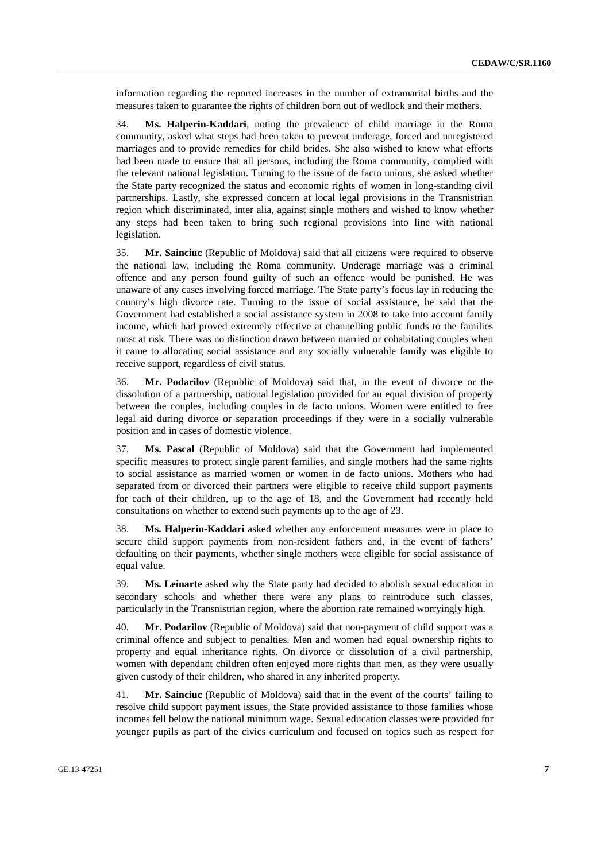information regarding the reported increases in the number of extramarital births and the measures taken to guarantee the rights of children born out of wedlock and their mothers.

34. **Ms. Halperin-Kaddari**, noting the prevalence of child marriage in the Roma community, asked what steps had been taken to prevent underage, forced and unregistered marriages and to provide remedies for child brides. She also wished to know what efforts had been made to ensure that all persons, including the Roma community, complied with the relevant national legislation. Turning to the issue of de facto unions, she asked whether the State party recognized the status and economic rights of women in long-standing civil partnerships. Lastly, she expressed concern at local legal provisions in the Transnistrian region which discriminated, inter alia, against single mothers and wished to know whether any steps had been taken to bring such regional provisions into line with national legislation.

35. **Mr. Sainciuc** (Republic of Moldova) said that all citizens were required to observe the national law, including the Roma community. Underage marriage was a criminal offence and any person found guilty of such an offence would be punished. He was unaware of any cases involving forced marriage. The State party's focus lay in reducing the country's high divorce rate. Turning to the issue of social assistance, he said that the Government had established a social assistance system in 2008 to take into account family income, which had proved extremely effective at channelling public funds to the families most at risk. There was no distinction drawn between married or cohabitating couples when it came to allocating social assistance and any socially vulnerable family was eligible to receive support, regardless of civil status.

36. **Mr. Podarilov** (Republic of Moldova) said that, in the event of divorce or the dissolution of a partnership, national legislation provided for an equal division of property between the couples, including couples in de facto unions. Women were entitled to free legal aid during divorce or separation proceedings if they were in a socially vulnerable position and in cases of domestic violence.

37. **Ms. Pascal** (Republic of Moldova) said that the Government had implemented specific measures to protect single parent families, and single mothers had the same rights to social assistance as married women or women in de facto unions. Mothers who had separated from or divorced their partners were eligible to receive child support payments for each of their children, up to the age of 18, and the Government had recently held consultations on whether to extend such payments up to the age of 23.

38. **Ms. Halperin-Kaddari** asked whether any enforcement measures were in place to secure child support payments from non-resident fathers and, in the event of fathers' defaulting on their payments, whether single mothers were eligible for social assistance of equal value.

39. **Ms. Leinarte** asked why the State party had decided to abolish sexual education in secondary schools and whether there were any plans to reintroduce such classes, particularly in the Transnistrian region, where the abortion rate remained worryingly high.

40. **Mr. Podarilov** (Republic of Moldova) said that non-payment of child support was a criminal offence and subject to penalties. Men and women had equal ownership rights to property and equal inheritance rights. On divorce or dissolution of a civil partnership, women with dependant children often enjoyed more rights than men, as they were usually given custody of their children, who shared in any inherited property.

41. **Mr. Sainciuc** (Republic of Moldova) said that in the event of the courts' failing to resolve child support payment issues, the State provided assistance to those families whose incomes fell below the national minimum wage. Sexual education classes were provided for younger pupils as part of the civics curriculum and focused on topics such as respect for